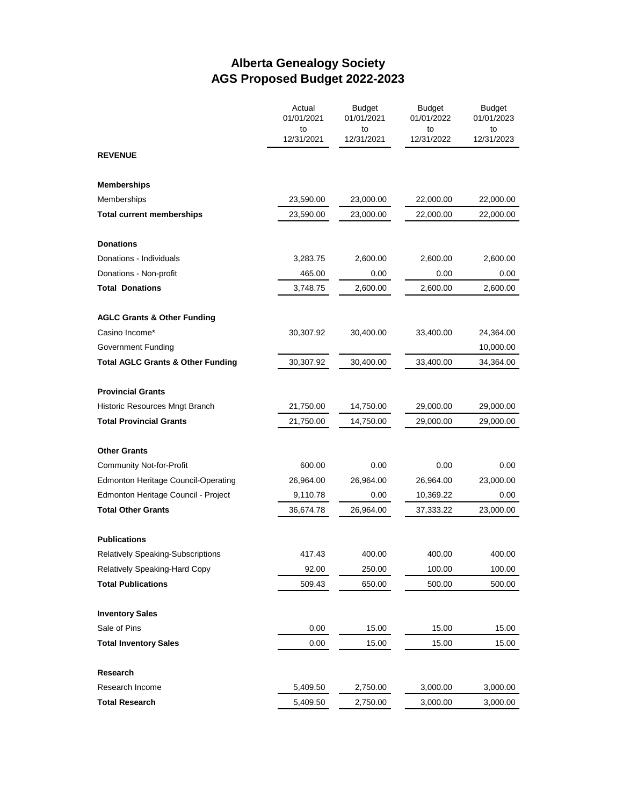## **Alberta Genealogy Society AGS Proposed Budget 2022-2023**

|                                              | Actual<br>01/01/2021<br>to | <b>Budget</b><br>01/01/2021<br>to | <b>Budget</b><br>01/01/2022<br>to | <b>Budget</b><br>01/01/2023<br>to |
|----------------------------------------------|----------------------------|-----------------------------------|-----------------------------------|-----------------------------------|
|                                              | 12/31/2021                 | 12/31/2021                        | 12/31/2022                        | 12/31/2023                        |
| <b>REVENUE</b>                               |                            |                                   |                                   |                                   |
| <b>Memberships</b>                           |                            |                                   |                                   |                                   |
| Memberships                                  | 23,590.00                  | 23,000.00                         | 22,000.00                         | 22,000.00                         |
| <b>Total current memberships</b>             | 23,590.00                  | 23,000.00                         | 22,000.00                         | 22,000.00                         |
| <b>Donations</b>                             |                            |                                   |                                   |                                   |
| Donations - Individuals                      | 3,283.75                   | 2,600.00                          | 2,600.00                          | 2,600.00                          |
| Donations - Non-profit                       | 465.00                     | 0.00                              | 0.00                              | 0.00                              |
| <b>Total Donations</b>                       | 3,748.75                   | 2,600.00                          | 2,600.00                          | 2,600.00                          |
| <b>AGLC Grants &amp; Other Funding</b>       |                            |                                   |                                   |                                   |
| Casino Income*                               | 30,307.92                  | 30,400.00                         | 33,400.00                         | 24,364.00                         |
| Government Funding                           |                            |                                   |                                   | 10,000.00                         |
| <b>Total AGLC Grants &amp; Other Funding</b> | 30,307.92                  | 30,400.00                         | 33,400.00                         | 34,364.00                         |
| <b>Provincial Grants</b>                     |                            |                                   |                                   |                                   |
| Historic Resources Mngt Branch               | 21,750.00                  | 14,750.00                         | 29,000.00                         | 29,000.00                         |
| <b>Total Provincial Grants</b>               | 21,750.00                  | 14,750.00                         | 29,000.00                         | 29,000.00                         |
| <b>Other Grants</b>                          |                            |                                   |                                   |                                   |
| Community Not-for-Profit                     | 600.00                     | 0.00                              | 0.00                              | 0.00                              |
| <b>Edmonton Heritage Council-Operating</b>   | 26,964.00                  | 26,964.00                         | 26,964.00                         | 23,000.00                         |
| Edmonton Heritage Council - Project          | 9,110.78                   | 0.00                              | 10,369.22                         | 0.00                              |
| <b>Total Other Grants</b>                    | 36,674.78                  | 26,964.00                         | 37,333.22                         | 23,000.00                         |
| <b>Publications</b>                          |                            |                                   |                                   |                                   |
| <b>Relatively Speaking-Subscriptions</b>     | 417.43                     | 400.00                            | 400.00                            | 400.00                            |
| Relatively Speaking-Hard Copy                | 92.00                      | 250.00                            | 100.00                            | 100.00                            |
| <b>Total Publications</b>                    | 509.43                     | 650.00                            | 500.00                            | 500.00                            |
| <b>Inventory Sales</b>                       |                            |                                   |                                   |                                   |
| Sale of Pins                                 | 0.00                       | 15.00                             | 15.00                             | 15.00                             |
| <b>Total Inventory Sales</b>                 | 0.00                       | 15.00                             | 15.00                             | 15.00                             |
| Research                                     |                            |                                   |                                   |                                   |
| Research Income                              | 5,409.50                   | 2,750.00                          | 3,000.00                          | 3,000.00                          |
| <b>Total Research</b>                        | 5,409.50                   | 2,750.00                          | 3,000.00                          | 3,000.00                          |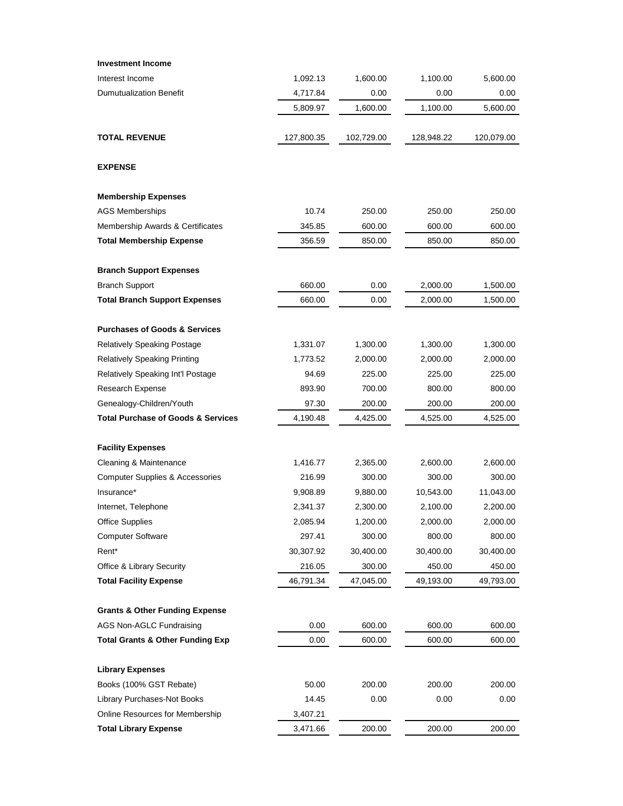| <b>Investment Income</b>                           |            |            |            |            |
|----------------------------------------------------|------------|------------|------------|------------|
| Interest Income                                    | 1,092.13   | 1,600.00   | 1,100.00   | 5,600.00   |
| <b>Dumutualization Benefit</b>                     | 4,717.84   | 0.00       | 0.00       | 0.00       |
|                                                    | 5,809.97   | 1,600.00   | 1,100.00   | 5,600.00   |
| <b>TOTAL REVENUE</b>                               | 127,800.35 | 102,729.00 | 128,948.22 | 120,079.00 |
| <b>EXPENSE</b>                                     |            |            |            |            |
| <b>Membership Expenses</b>                         |            |            |            |            |
| <b>AGS Memberships</b>                             | 10.74      | 250.00     | 250.00     | 250.00     |
| Membership Awards & Certificates                   | 345.85     | 600.00     | 600.00     | 600.00     |
| <b>Total Membership Expense</b>                    | 356.59     | 850.00     | 850.00     | 850.00     |
| <b>Branch Support Expenses</b>                     |            |            |            |            |
| <b>Branch Support</b>                              | 660.00     | 0.00       | 2,000.00   | 1,500.00   |
| <b>Total Branch Support Expenses</b>               | 660.00     | 0.00       | 2,000.00   | 1,500.00   |
| <b>Purchases of Goods &amp; Services</b>           |            |            |            |            |
| <b>Relatively Speaking Postage</b>                 | 1,331.07   | 1,300.00   | 1,300.00   | 1,300.00   |
| <b>Relatively Speaking Printing</b>                | 1,773.52   | 2,000.00   | 2,000.00   | 2,000.00   |
| Relatively Speaking Int'l Postage                  | 94.69      | 225.00     | 225.00     | 225.00     |
| Research Expense                                   | 893.90     | 700.00     | 800.00     | 800.00     |
| Genealogy-Children/Youth                           | 97.30      | 200.00     | 200.00     | 200.00     |
| <b>Total Purchase of Goods &amp; Services</b>      | 4,190.48   | 4,425.00   | 4,525.00   | 4,525.00   |
| <b>Facility Expenses</b>                           |            |            |            |            |
| Cleaning & Maintenance                             | 1,416.77   | 2,365.00   | 2,600.00   | 2,600.00   |
| <b>Computer Supplies &amp; Accessories</b>         | 216.99     | 300.00     | 300.00     | 300.00     |
| Insurance*                                         | 9,908.89   | 9,880.00   | 10,543.00  | 11,043.00  |
| Internet, Telephone                                | 2,341.37   | 2,300.00   | 2,100.00   | 2,200.00   |
| <b>Office Supplies</b>                             | 2,085.94   | 1,200.00   | 2,000.00   | 2,000.00   |
| <b>Computer Software</b>                           | 297.41     | 300.00     | 800.00     | 800.00     |
| Rent*                                              | 30,307.92  | 30,400.00  | 30,400.00  | 30,400.00  |
| Office & Library Security                          | 216.05     | 300.00     | 450.00     | 450.00     |
| <b>Total Facility Expense</b>                      | 46,791.34  | 47,045.00  | 49,193.00  | 49,793.00  |
| <b>Grants &amp; Other Funding Expense</b>          |            |            |            |            |
| AGS Non-AGLC Fundraising                           | 0.00       | 600.00     | 600.00     | 600.00     |
| <b>Total Grants &amp; Other Funding Exp</b>        | 0.00       | 600.00     | 600.00     | 600.00     |
|                                                    |            |            |            |            |
| <b>Library Expenses</b><br>Books (100% GST Rebate) | 50.00      | 200.00     | 200.00     | 200.00     |
| Library Purchases-Not Books                        | 14.45      | 0.00       | 0.00       | 0.00       |
| Online Resources for Membership                    | 3,407.21   |            |            |            |
| <b>Total Library Expense</b>                       | 3,471.66   | 200.00     | 200.00     | 200.00     |
|                                                    |            |            |            |            |